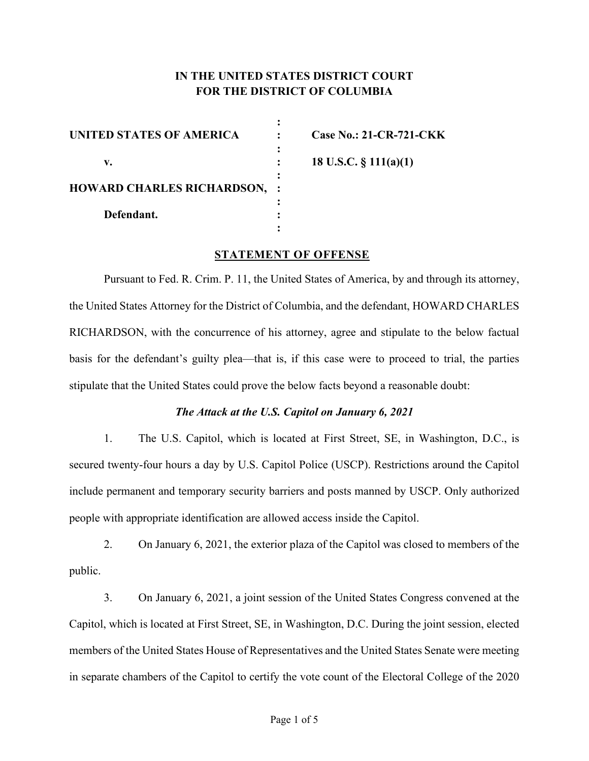# **IN THE UNITED STATES DISTRICT COURT FOR THE DISTRICT OF COLUMBIA**

| UNITED STATES OF AMERICA          | Cas  |
|-----------------------------------|------|
| v.                                | 18 I |
| <b>HOWARD CHARLES RICHARDSON,</b> |      |
| Defendant.                        |      |
|                                   |      |

**UNITED STATES OF AMERICA : Case No.: 21-CR-721-CKK v. : 18 U.S.C. § 111(a)(1)**

#### **STATEMENT OF OFFENSE**

Pursuant to Fed. R. Crim. P. 11, the United States of America, by and through its attorney, the United States Attorney for the District of Columbia, and the defendant, HOWARD CHARLES RICHARDSON, with the concurrence of his attorney, agree and stipulate to the below factual basis for the defendant's guilty plea—that is, if this case were to proceed to trial, the parties stipulate that the United States could prove the below facts beyond a reasonable doubt:

## *The Attack at the U.S. Capitol on January 6, 2021*

1. The U.S. Capitol, which is located at First Street, SE, in Washington, D.C., is secured twenty-four hours a day by U.S. Capitol Police (USCP). Restrictions around the Capitol include permanent and temporary security barriers and posts manned by USCP. Only authorized people with appropriate identification are allowed access inside the Capitol.

2. On January 6, 2021, the exterior plaza of the Capitol was closed to members of the public.

3. On January 6, 2021, a joint session of the United States Congress convened at the Capitol, which is located at First Street, SE, in Washington, D.C. During the joint session, elected members of the United States House of Representatives and the United States Senate were meeting in separate chambers of the Capitol to certify the vote count of the Electoral College of the 2020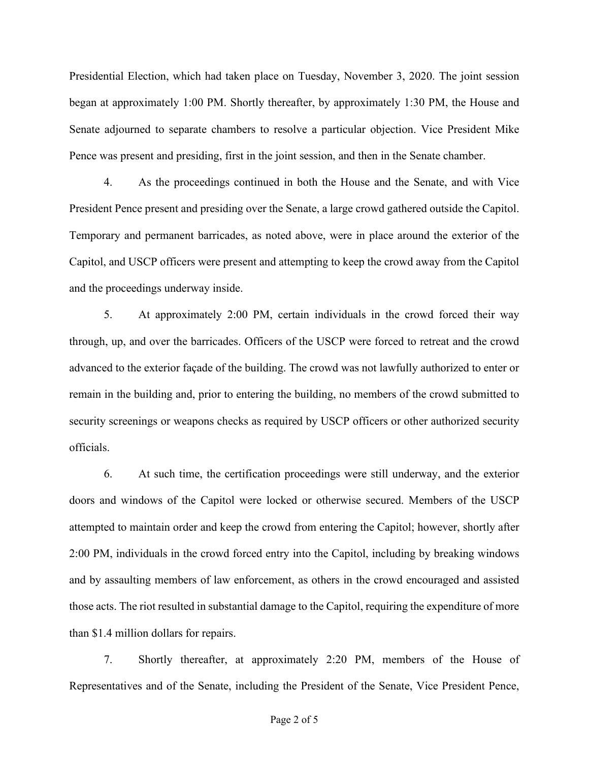Presidential Election, which had taken place on Tuesday, November 3, 2020. The joint session began at approximately 1:00 PM. Shortly thereafter, by approximately 1:30 PM, the House and Senate adjourned to separate chambers to resolve a particular objection. Vice President Mike Pence was present and presiding, first in the joint session, and then in the Senate chamber.

4. As the proceedings continued in both the House and the Senate, and with Vice President Pence present and presiding over the Senate, a large crowd gathered outside the Capitol. Temporary and permanent barricades, as noted above, were in place around the exterior of the Capitol, and USCP officers were present and attempting to keep the crowd away from the Capitol and the proceedings underway inside.

5. At approximately 2:00 PM, certain individuals in the crowd forced their way through, up, and over the barricades. Officers of the USCP were forced to retreat and the crowd advanced to the exterior façade of the building. The crowd was not lawfully authorized to enter or remain in the building and, prior to entering the building, no members of the crowd submitted to security screenings or weapons checks as required by USCP officers or other authorized security officials.

6. At such time, the certification proceedings were still underway, and the exterior doors and windows of the Capitol were locked or otherwise secured. Members of the USCP attempted to maintain order and keep the crowd from entering the Capitol; however, shortly after 2:00 PM, individuals in the crowd forced entry into the Capitol, including by breaking windows and by assaulting members of law enforcement, as others in the crowd encouraged and assisted those acts. The riot resulted in substantial damage to the Capitol, requiring the expenditure of more than \$1.4 million dollars for repairs.

7. Shortly thereafter, at approximately 2:20 PM, members of the House of Representatives and of the Senate, including the President of the Senate, Vice President Pence,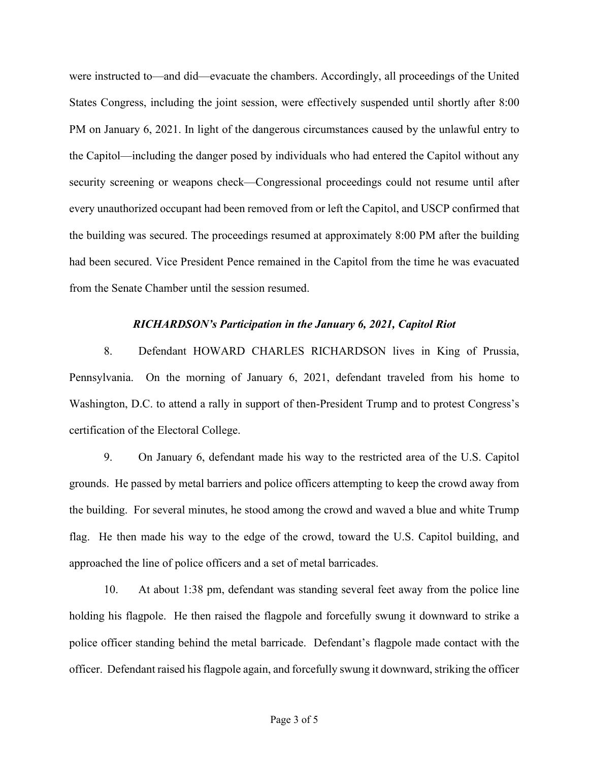were instructed to—and did—evacuate the chambers. Accordingly, all proceedings of the United States Congress, including the joint session, were effectively suspended until shortly after 8:00 PM on January 6, 2021. In light of the dangerous circumstances caused by the unlawful entry to the Capitol—including the danger posed by individuals who had entered the Capitol without any security screening or weapons check—Congressional proceedings could not resume until after every unauthorized occupant had been removed from or left the Capitol, and USCP confirmed that the building was secured. The proceedings resumed at approximately 8:00 PM after the building had been secured. Vice President Pence remained in the Capitol from the time he was evacuated from the Senate Chamber until the session resumed.

### *RICHARDSON's Participation in the January 6, 2021, Capitol Riot*

8. Defendant HOWARD CHARLES RICHARDSON lives in King of Prussia, Pennsylvania. On the morning of January 6, 2021, defendant traveled from his home to Washington, D.C. to attend a rally in support of then-President Trump and to protest Congress's certification of the Electoral College.

9. On January 6, defendant made his way to the restricted area of the U.S. Capitol grounds. He passed by metal barriers and police officers attempting to keep the crowd away from the building. For several minutes, he stood among the crowd and waved a blue and white Trump flag. He then made his way to the edge of the crowd, toward the U.S. Capitol building, and approached the line of police officers and a set of metal barricades.

10. At about 1:38 pm, defendant was standing several feet away from the police line holding his flagpole. He then raised the flagpole and forcefully swung it downward to strike a police officer standing behind the metal barricade. Defendant's flagpole made contact with the officer. Defendant raised his flagpole again, and forcefully swung it downward, striking the officer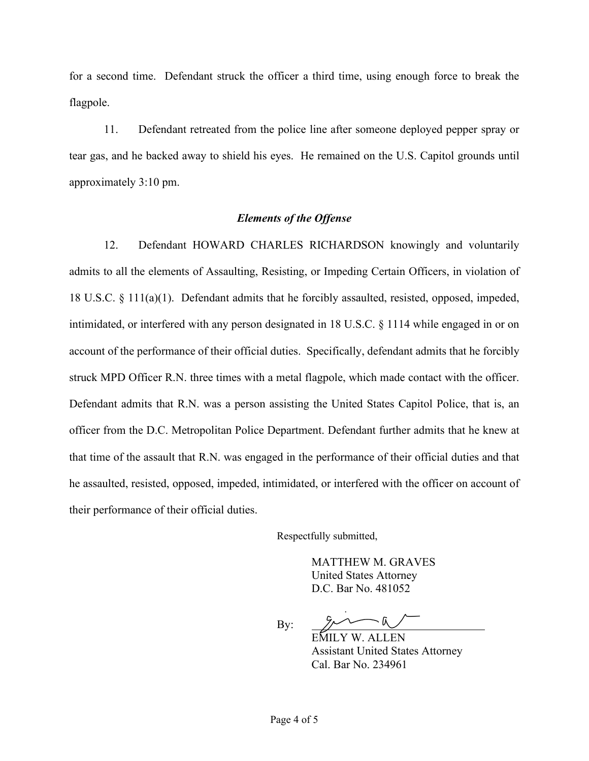for a second time. Defendant struck the officer a third time, using enough force to break the flagpole.

11. Defendant retreated from the police line after someone deployed pepper spray or tear gas, and he backed away to shield his eyes. He remained on the U.S. Capitol grounds until approximately 3:10 pm.

### *Elements of the Offense*

12. Defendant HOWARD CHARLES RICHARDSON knowingly and voluntarily admits to all the elements of Assaulting, Resisting, or Impeding Certain Officers, in violation of 18 U.S.C. § 111(a)(1). Defendant admits that he forcibly assaulted, resisted, opposed, impeded, intimidated, or interfered with any person designated in 18 U.S.C. § 1114 while engaged in or on account of the performance of their official duties. Specifically, defendant admits that he forcibly struck MPD Officer R.N. three times with a metal flagpole, which made contact with the officer. Defendant admits that R.N. was a person assisting the United States Capitol Police, that is, an officer from the D.C. Metropolitan Police Department. Defendant further admits that he knew at that time of the assault that R.N. was engaged in the performance of their official duties and that he assaulted, resisted, opposed, impeded, intimidated, or interfered with the officer on account of their performance of their official duties.

Respectfully submitted,

 MATTHEW M. GRAVES United States Attorney D.C. Bar No. 481052

By:

 EMILY W. ALLEN Assistant United States Attorney Cal. Bar No. 234961